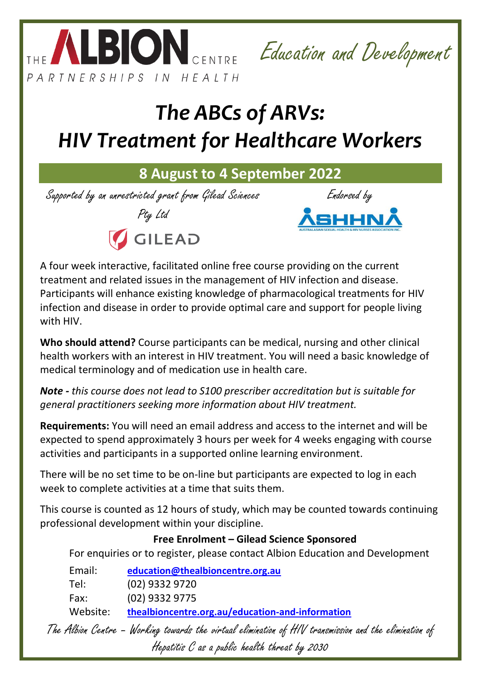

Education and Development

# *The ABCs of ARVs: HIV Treatment for Healthcare Workers*

## **8 August to 4 September 2022**

Supported by an unrestricted grant from Gilead Sciences

Pty Ltd



Endorsed by

A four week interactive, facilitated online free course providing on the current treatment and related issues in the management of HIV infection and disease. Participants will enhance existing knowledge of pharmacological treatments for HIV infection and disease in order to provide optimal care and support for people living with HIV.

**Who should attend?** Course participants can be medical, nursing and other clinical health workers with an interest in HIV treatment. You will need a basic knowledge of medical terminology and of medication use in health care.

*Note - this course does not lead to S100 prescriber accreditation but is suitable for general practitioners seeking more information about HIV treatment.*

**Requirements:** You will need an email address and access to the internet and will be expected to spend approximately 3 hours per week for 4 weeks engaging with course activities and participants in a supported online learning environment.

There will be no set time to be on-line but participants are expected to log in each week to complete activities at a time that suits them.

This course is counted as 12 hours of study, which may be counted towards continuing professional development within your discipline.

### **Free Enrolment – Gilead Science Sponsored**

For enquiries or to register, please contact Albion Education and Development

| Email:   | education@thealbioncentre.org.au                                                                       |
|----------|--------------------------------------------------------------------------------------------------------|
| Tel:     | (02) 9332 9720                                                                                         |
| Fax:     | (02) 9332 9775                                                                                         |
| Website: | thealbioncentre.org.au/education-and-information                                                       |
|          | The Albion Centre – Working towards the virtual elimination of HIV transmission and the elimination of |

Hepatitis C as a public health threat by 2030